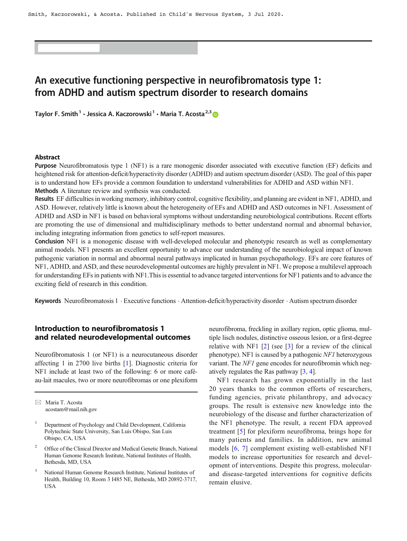# An executive functioning perspective in neurofibromatosis type 1: from ADHD and autism spectrum disorder to research domains

Taylor F. Smith<sup>1</sup> · Jessica A. Kaczorowski<sup>1</sup> · Maria T. Acosta<sup>2,3</sup>

#### Abstract

Purpose Neurofibromatosis type 1 (NF1) is a rare monogenic disorder associated with executive function (EF) deficits and heightened risk for attention-deficit/hyperactivity disorder (ADHD) and autism spectrum disorder (ASD). The goal of this paper is to understand how EFs provide a common foundation to understand vulnerabilities for ADHD and ASD within NF1. Methods A literature review and synthesis was conducted.

Results EF difficulties in working memory, inhibitory control, cognitive flexibility, and planning are evident in NF1, ADHD, and ASD. However, relatively little is known about the heterogeneity of EFs and ADHD and ASD outcomes in NF1. Assessment of ADHD and ASD in NF1 is based on behavioral symptoms without understanding neurobiological contributions. Recent efforts are promoting the use of dimensional and multidisciplinary methods to better understand normal and abnormal behavior, including integrating information from genetics to self-report measures.

Conclusion NF1 is a monogenic disease with well-developed molecular and phenotypic research as well as complementary animal models. NF1 presents an excellent opportunity to advance our understanding of the neurobiological impact of known pathogenic variation in normal and abnormal neural pathways implicated in human psychopathology. EFs are core features of NF1, ADHD, and ASD, and these neurodevelopmental outcomes are highly prevalent in NF1. We propose a multilevel approach for understanding EFs in patients with NF1.This is essential to advance targeted interventions for NF1 patients and to advance the exciting field of research in this condition.

Keywords Neurofibromatosis  $1 \cdot$  Executive functions  $\cdot$  Attention-deficit/hyperactivity disorder  $\cdot$  Autism spectrum disorder

# Introduction to neurofibromatosis 1 and related neurodevelopmental outcomes

Neurofibromatosis 1 (or NF1) is a neurocutaneous disorder affecting 1 in 2700 live births [[1\]](#page-7-0). Diagnostic criteria for NF1 include at least two of the following: 6 or more caféau-lait macules, two or more neurofibromas or one plexiform

 $\boxtimes$  Maria T. Acosta [acostam@mail.nih.gov](mailto:acostam@mail.nih.gov)

- <sup>1</sup> Department of Psychology and Child Development, California Polytechnic State University, San Luis Obispo, San Luis Obispo, CA, USA
- 2 Office of the Clinical Director and Medical Genetic Branch, National Human Genome Research Institute, National Institutes of Health, Bethesda, MD, USA
- 3 National Human Genome Research Institute, National Institutes of Health, Building 10, Room 3 I485 NE, Bethesda, MD 20892-3717, USA

neurofibroma, freckling in axillary region, optic glioma, multiple lisch nodules, distinctive osseous lesion, or a first-degree relative with NF1  $[2]$  $[2]$  (see  $[3]$  $[3]$  for a review of the clinical phenotype). NF1 is caused by a pathogenic NF1 heterozygous variant. The NF1 gene encodes for neurofibromin which negatively regulates the Ras pathway [[3,](#page-7-0) [4\]](#page-7-0).

NF1 research has grown exponentially in the last 20 years thanks to the common efforts of researchers, funding agencies, private philanthropy, and advocacy groups. The result is extensive new knowledge into the neurobiology of the disease and further characterization of the NF1 phenotype. The result, a recent FDA approved treatment [[5\]](#page-7-0) for plexiform neurofibroma, brings hope for many patients and families. In addition, new animal models [[6,](#page-7-0) [7](#page-8-0)] complement existing well-established NF1 models to increase opportunities for research and development of interventions. Despite this progress, molecularand disease-targeted interventions for cognitive deficits remain elusive.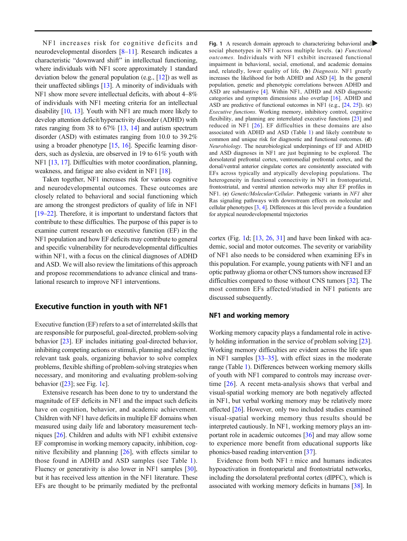NF1 increases risk for cognitive deficits and neurodevelopmental disorders [[8](#page-8-0)–[11](#page-8-0)]. Research indicates a characteristic "downward shift" in intellectual functioning, where individuals with NF1 score approximately 1 standard deviation below the general population (e.g., [[12\]](#page-8-0)) as well as their unaffected siblings [\[13\]](#page-8-0). A minority of individuals with NF1 show more severe intellectual deficits, with about 4–8% of individuals with NF1 meeting criteria for an intellectual disability [[10,](#page-8-0) [13\]](#page-8-0). Youth with NF1 are much more likely to develop attention deficit/hyperactivity disorder (ADHD) with rates ranging from 38 to 67% [[13](#page-8-0), [14\]](#page-8-0) and autism spectrum disorder (ASD) with estimates ranging from 10.0 to 39.2% using a broader phenotype [[15,](#page-8-0) [16](#page-8-0)]. Specific learning disorders, such as dyslexia, are observed in 19 to 61% youth with NF1 [\[13,](#page-8-0) [17\]](#page-8-0). Difficulties with motor coordination, planning, weakness, and fatigue are also evident in NF1 [\[18](#page-8-0)].

Taken together, NF1 increases risk for various cognitive and neurodevelopmental outcomes. These outcomes are closely related to behavioral and social functioning which are among the strongest predictors of quality of life in NF1 [\[19](#page-8-0)–[22\]](#page-8-0). Therefore, it is important to understand factors that contribute to these difficulties. The purpose of this paper is to examine current research on executive function (EF) in the NF1 population and how EF deficits may contribute to general and specific vulnerability for neurodevelopmental difficulties within NF1, with a focus on the clinical diagnoses of ADHD and ASD. We will also review the limitations of this approach and propose recommendations to advance clinical and translational research to improve NF1 interventions.

## Executive function in youth with NF1

Executive function (EF) refers to a set of interrelated skills that are responsible for purposeful, goal-directed, problem-solving behavior [\[23](#page-8-0)]. EF includes initiating goal-directed behavior, inhibiting competing actions or stimuli, planning and selecting relevant task goals, organizing behavior to solve complex problems, flexible shifting of problem-solving strategies when necessary, and monitoring and evaluating problem-solving behavior  $(23)$ ; see Fig. [1c](#page-2-0)].

Extensive research has been done to try to understand the magnitude of EF deficits in NF1 and the impact such deficits have on cognition, behavior, and academic achievement. Children with NF1 have deficits in multiple EF domains when measured using daily life and laboratory measurement techniques [[26](#page-8-0)]. Children and adults with NF1 exhibit extensive EF compromise in working memory capacity, inhibition, cognitive flexibility and planning [[26\]](#page-8-0), with effects similar to those found in ADHD and ASD samples (see Table [1](#page-3-0)). Fluency or generativity is also lower in NF1 samples [[30](#page-8-0)], but it has received less attention in the NF1 literature. These EFs are thought to be primarily mediated by the prefrontal Fig. 1 A research domain approach to characterizing behavioral and social phenotypes in NF1 across multiple levels. (a) *Functional* outcomes. Individuals with NF1 exhibit increased functional impairment in behavioral, social, emotional, and academic domains and, relatedly, lower quality of life. (b) Diagnosis. NF1 greatly increases the likelihood for both ADHD and ASD [[4\]](#page-7-0). In the general population, genetic and phenotypic correlations between ADHD and ASD are substantive [[4](#page-7-0)]. Within NF1, ADHD and ASD diagnostic categories and symptom dimensions also overlap [[16](#page-8-0)]. ADHD and ASD are predictive of functional outcomes in NF1 (e.g., [\[24,](#page-8-0) [25\]](#page-8-0)). (c) Executive functions. Working memory, inhibitory control, cognitive flexibility, and planning are interrelated executive functions [[23](#page-8-0)] and reduced in NF1 [[26\]](#page-8-0). EF difficulties in these domains are also associated with ADHD and ASD (Table [1\)](#page-3-0) and likely contribute to common and unique risk for diagnostic and functional outcomes. (d) Neurobiology. The neurobiological underpinnings of EF and ADHD and ASD diagnoses in NF1 are just beginning to be explored. The dorsolateral prefrontal cortex, ventromedial prefrontal cortex, and the dorsal/ventral anterior cingulate cortex are consistently associated with EFs across typically and atypically developing populations. The heterogeneity in functional connectivity in NF1 in frontoparietal, frontostriatal, and ventral attention networks may alter EF profiles in NF1. (e) Genetic/Molecular/Cellular. Pathogenic variants in NF1 alter Ras signaling pathways with downstream effects on molecular and cellular phenotypes [\[3](#page-7-0), [4\]](#page-7-0). Differences at this level provide a foundation for atypical neurodevelopmental trajectories

cortex (Fig. [1d](#page-2-0); [[13](#page-8-0), [26,](#page-8-0) [31](#page-8-0)] and have been linked with academic, social and motor outcomes. The severity or variability of NF1 also needs to be considered when examining EFs in this population. For example, young patients with NF1 and an optic pathway glioma or other CNS tumors show increased EF difficulties compared to those without CNS tumors [\[32\]](#page-8-0). The most common EFs affected/studied in NF1 patients are discussed subsequently.

#### NF1 and working memory

Working memory capacity plays a fundamental role in actively holding information in the service of problem solving [[23\]](#page-8-0). Working memory difficulties are evident across the life span in NF1 samples [\[33](#page-8-0)–[35\]](#page-9-0), with effect sizes in the moderate range (Table [1\)](#page-3-0). Differences between working memory skills of youth with NF1 compared to controls may increase overtime [\[26\]](#page-8-0). A recent meta-analysis shows that verbal and visual-spatial working memory are both negatively affected in NF1, but verbal working memory may be relatively more affected [\[26\]](#page-8-0). However, only two included studies examined visual-spatial working memory thus results should be interpreted cautiously. In NF1, working memory plays an important role in academic outcomes [\[36\]](#page-9-0) and may allow some to experience more benefit from educational supports like phonics-based reading intervention [\[37\]](#page-9-0).

Evidence from both  $NF1 \pm$  mice and humans indicates hypoactivation in frontoparietal and frontostriatal networks, including the dorsolateral prefrontal cortex (dlPFC), which is associated with working memory deficits in humans [[38\]](#page-9-0). In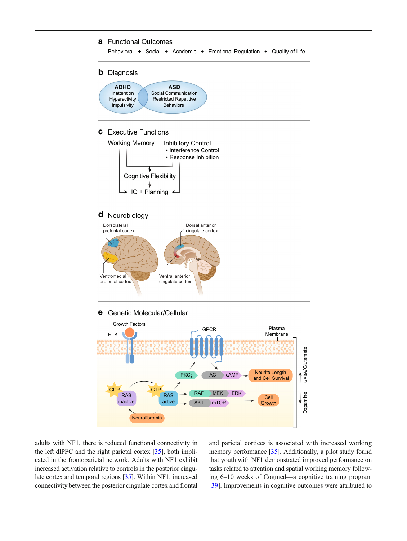#### <span id="page-2-0"></span>**a** Functional Outcomes

Behavioral + Social + Academic + Emotional Regulation + Quality of Life



# **d** Neurobiology



## **e** Genetic Molecular/Cellular



adults with NF1, there is reduced functional connectivity in the left dlPFC and the right parietal cortex [\[35](#page-9-0)], both implicated in the frontoparietal network. Adults with NF1 exhibit increased activation relative to controls in the posterior cingulate cortex and temporal regions [\[35](#page-9-0)]. Within NF1, increased connectivity between the posterior cingulate cortex and frontal and parietal cortices is associated with increased working memory performance [[35](#page-9-0)]. Additionally, a pilot study found that youth with NF1 demonstrated improved performance on tasks related to attention and spatial working memory following 6–10 weeks of Cogmed—a cognitive training program [\[39](#page-9-0)]. Improvements in cognitive outcomes were attributed to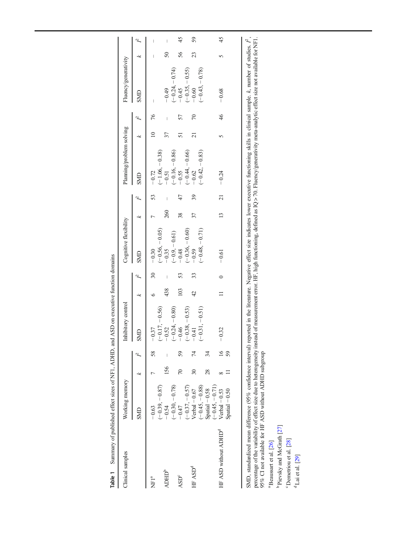<span id="page-3-0"></span>

| Table 1                                                                                                                                                                                                                                                                                                                                                                                                                                                                                                                                                                                                                                          |                                                        |                                |                       | Summary of published effect sizes of NF1, ADHD, and ASD on executive function domains |         |                          |                                                |     |                                       |                                                |                 |                                       |                                                 |        |                          |
|--------------------------------------------------------------------------------------------------------------------------------------------------------------------------------------------------------------------------------------------------------------------------------------------------------------------------------------------------------------------------------------------------------------------------------------------------------------------------------------------------------------------------------------------------------------------------------------------------------------------------------------------------|--------------------------------------------------------|--------------------------------|-----------------------|---------------------------------------------------------------------------------------|---------|--------------------------|------------------------------------------------|-----|---------------------------------------|------------------------------------------------|-----------------|---------------------------------------|-------------------------------------------------|--------|--------------------------|
| Clinical samples                                                                                                                                                                                                                                                                                                                                                                                                                                                                                                                                                                                                                                 | Working memory                                         |                                |                       | nhibitory control                                                                     |         |                          | Cognitive flexibility                          |     |                                       | Planning/problem solving                       |                 |                                       | Fluency/generativity                            |        |                          |
|                                                                                                                                                                                                                                                                                                                                                                                                                                                                                                                                                                                                                                                  | SMD                                                    | ĸ                              | Þ                     | SMD                                                                                   | k       | Ŀ                        | SMD                                            | k   | Ŀ                                     | SMD                                            | k               | Ŀ                                     | SMD                                             | ĸ      | Ŀ                        |
| NFI <sup>a</sup>                                                                                                                                                                                                                                                                                                                                                                                                                                                                                                                                                                                                                                 | $(-0.39, -0.87)$<br>$-0.63$                            |                                | 58                    | $-0.17,-0.56$<br>$-0.37$                                                              | $\circ$ | $\overline{\mathcal{E}}$ | $(-0.56, -0.05)$<br>$-0.30$                    |     | 53                                    | $(-1.06, -0.38)$<br>$-0.72$                    | $\overline{10}$ | 76                                    | $\overline{\phantom{a}}$                        |        | $\overline{\phantom{a}}$ |
| ADHD <sup>b</sup>                                                                                                                                                                                                                                                                                                                                                                                                                                                                                                                                                                                                                                | $-0.54$                                                | 156                            |                       | $-0.24, -0.80)$<br>$-0.52$                                                            | 438     | $\overline{\phantom{a}}$ | $-0.35$                                        | 260 | $\begin{array}{c} \hline \end{array}$ | $-0.51$                                        | 37              | $\begin{array}{c} \hline \end{array}$ | $-0.49$                                         | $50\,$ | $\sf I$                  |
| $\ensuremath{\mathsf{ASD}^c}\xspace$                                                                                                                                                                                                                                                                                                                                                                                                                                                                                                                                                                                                             | $(-0.30, -0.78)$<br>$(-0.37, -0.57)$<br>$-0.47$        | $\sqrt{2}$                     | 59                    | $(-0.38, -0.53)$<br>$-0.46$                                                           | 103     | 53                       | $(-0.36, -0.60)$<br>$(-0.9, -0.61)$<br>$-0.48$ | 38  | 47                                    | $(-0.44, -0.66)$<br>$(-0.16,-0.86)$<br>$-0.55$ | 51              | 57                                    | $(-0.24, -0.74)$<br>$(-0.35, -0.55)$<br>$-0.45$ | 56     | 45                       |
| HF ASD <sup>d</sup>                                                                                                                                                                                                                                                                                                                                                                                                                                                                                                                                                                                                                              | $(-0.45, -0.88)$<br>$S$ patial $-0.58$<br>$Vert -0.67$ | $\overline{\mathcal{E}}$<br>28 | 74<br>34              | $-0.31, -0.51)$<br>$-0.41$                                                            | 42      | 33                       | $(-0.48, -0.71)$<br>$-0.59$                    | 37  | 39                                    | $(-0.42,-0.83)$<br>$-0.62$                     | $\overline{c}$  | $\sqrt{2}$                            | $(-0.43, -0.78)$<br>$-0.60$                     | 23     | 59                       |
| HF ASD without ADHD <sup>d</sup>                                                                                                                                                                                                                                                                                                                                                                                                                                                                                                                                                                                                                 | $(-0.45, -0.71)$<br>$Vert -0.53$<br>$S$ patial $-0.50$ | ${}^{\circ}$                   | $\overline{16}$<br>59 | $-0.32$                                                                               | $\Box$  | $\circ$                  | $-0.61$                                        | 13  | $\overline{21}$                       | $-0.24$                                        | 5               | 46                                    | $-0.68$                                         | 5      | 45                       |
| SMD, standardized mean difference (95% confidence interval) reported in the literature. Negative effect size indicates lower executive functioning skills in clinical sample. k, number of studies. $\hat{F}$ ,<br>percentage of the variability of effect size due to heterogeneity instead of measurement error. HF, high functioning, defined as IQ > 70. Fluency/generativity meta-analytic effect size not available for NF1.<br>95% CI not available for HF ASD without ADHD subgroup<br><sup>b</sup> Pievsky and McGrath [27]<br><sup>c</sup> Demetriou et al. [28]<br><sup>a</sup> Beaussart et al. [26]<br>$\mathrm{d}$ Lai et al. [29] |                                                        |                                |                       |                                                                                       |         |                          |                                                |     |                                       |                                                |                 |                                       |                                                 |        |                          |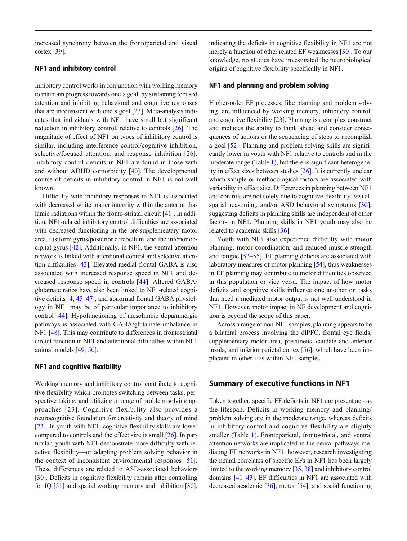increased synchrony between the frontoparietal and visual cortex [[39\]](#page-9-0).

## NF1 and inhibitory control

Inhibitory control works in conjunction with working memory to maintain progress towards one's goal, by sustaining focused attention and inhibiting behavioral and cognitive responses that are inconsistent with one's goal [\[23](#page-8-0)]. Meta-analysis indicates that individuals with NF1 have small but significant reduction in inhibitory control, relative to controls [\[26](#page-8-0)]. The magnitude of effect of NF1 on types of inhibitory control is similar, including interference control/cognitive inhibition, selective/focused attention, and response inhibition [[26](#page-8-0)]. Inhibitory control deficits in NF1 are found in those with and without ADHD comorbidity [[40\]](#page-9-0). The developmental course of deficits in inhibitory control in NF1 is not well known.

Difficulty with inhibitory responses in NF1 is associated with decreased white matter integrity within the anterior thalamic radiations within the fronto-striatal circuit [\[41\]](#page-9-0). In addition, NF1-related inhibitory control difficulties are associated with decreased functioning in the pre-supplementary motor area, fusiform gyrus/posterior cerebellum, and the inferior occipital gyrus [\[42](#page-9-0)]. Additionally, in NF1, the ventral attention network is linked with attentional control and selective attention difficulties [[43](#page-9-0)]. Elevated medial frontal GABA is also associated with increased response speed in NF1 and decreased response speed in controls [[44\]](#page-9-0). Altered GABA/ glutamate ratios have also been linked to NF1-related cognitive deficits [[4](#page-7-0), [45](#page-9-0)–[47\]](#page-9-0), and abnormal frontal GABA physiology in NF1 may be of particular importance to inhibitory control [\[44](#page-9-0)]. Hypofunctioning of mesolimbic dopaminergic pathways is associated with GABA/glutamate imbalance in NF1 [\[48](#page-9-0)]. This may contribute to differences in frontostriatal circuit function in NF1 and attentional difficulties within NF1 animal models [[49,](#page-9-0) [50](#page-9-0)].

## NF1 and cognitive flexibility

Working memory and inhibitory control contribute to cognitive flexibility which promotes switching between tasks, perspective taking, and utilizing a range of problem-solving approaches [[23\]](#page-8-0). Cognitive flexibility also provides a neurocognitive foundation for creativity and theory of mind [\[23\]](#page-8-0). In youth with NF1, cognitive flexibility skills are lower compared to controls and the effect size is small [[26\]](#page-8-0). In particular, youth with NF1 demonstrate more difficulty with reactive flexibility—or adapting problem solving behavior in the context of inconsistent environmental responses [\[51](#page-9-0)]. These differences are related to ASD-associated behaviors [\[30\]](#page-8-0). Deficits in cognitive flexibility remain after controlling for IQ [\[51](#page-9-0)] and spatial working memory and inhibition [[30\]](#page-8-0),

indicating the deficits in cognitive flexibility in NF1 are not merely a function of other related EF weaknesses [[30](#page-8-0)]. To our knowledge, no studies have investigated the neurobiological origins of cognitive flexibility specifically in NF1.

### NF1 and planning and problem solving

Higher-order EF processes, like planning and problem solving, are influenced by working memory, inhibitory control, and cognitive flexibility [[23\]](#page-8-0). Planning is a complex construct and includes the ability to think ahead and consider consequences of actions or the sequencing of steps to accomplish a goal [[52\]](#page-9-0). Planning and problem-solving skills are significantly lower in youth with NF1 relative to controls and in the moderate range (Table [1](#page-3-0)), but there is significant heterogeneity in effect sizes between studies [[26\]](#page-8-0). It is currently unclear which sample or methodological factors are associated with variability in effect size. Differences in planning between NF1 and controls are not solely due to cognitive flexibility, visualspatial reasoning, and/or ASD behavioral symptoms [\[30](#page-8-0)], suggesting deficits in planning skills are independent of other factors in NF1. Planning skills in NF1 youth may also be related to academic skills [\[36\]](#page-9-0).

Youth with NF1 also experience difficulty with motor planning, motor coordination, and reduced muscle strength and fatigue [[53](#page-9-0)–[55\]](#page-9-0). EF planning deficits are associated with laboratory measures of motor planning [\[54](#page-9-0)], thus weaknesses in EF planning may contribute to motor difficulties observed in this population or vice versa. The impact of how motor deficits and cognitive skills influence one another on tasks that need a mediated motor output is not well understood in NF1. However, motor impact in NF development and cognition is beyond the scope of this paper.

Across a range of non-NF1 samples, planning appears to be a bilateral process involving the dlPFC, frontal eye fields, supplementary motor area, precuneus, caudate and anterior insula, and inferior parietal cortex [\[56\]](#page-9-0), which have been implicated in other EFs within NF1 samples.

#### Summary of executive functions in NF1

Taken together, specific EF deficits in NF1 are present across the lifespan. Deficits in working memory and planning/ problem solving are in the moderate range, whereas deficits in inhibitory control and cognitive flexibility are slightly smaller (Table [1](#page-3-0)). Frontoparietal, frontostriatal, and ventral attention networks are implicated in the neural pathways mediating EF networks in NF1; however, research investigating the neural correlates of specific EFs in NF1 has been largely limited to the working memory [\[35,](#page-9-0) [38](#page-9-0)] and inhibitory control domains [\[41](#page-9-0)–[43\]](#page-9-0). EF difficulties in NF1 are associated with decreased academic [\[36\]](#page-9-0), motor [\[54\]](#page-9-0), and social functioning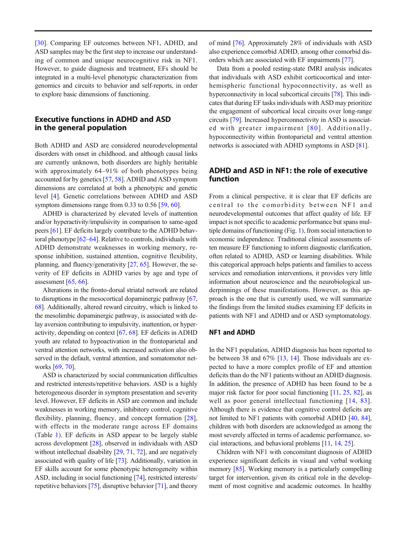[\[30](#page-8-0)]. Comparing EF outcomes between NF1, ADHD, and ASD samples may be the first step to increase our understanding of common and unique neurocognitive risk in NF1. However, to guide diagnosis and treatment, EFs should be integrated in a multi-level phenotypic characterization from genomics and circuits to behavior and self-reports, in order to explore basic dimensions of functioning.

# Executive functions in ADHD and ASD in the general population

Both ADHD and ASD are considered neurodevelopmental disorders with onset in childhood, and although causal links are currently unknown, both disorders are highly heritable with approximately 64–91% of both phenotypes being accounted for by genetics [[57](#page-9-0), [58\]](#page-9-0). ADHD and ASD symptom dimensions are correlated at both a phenotypic and genetic level [[4\]](#page-7-0). Genetic correlations between ADHD and ASD symptom dimensions range from 0.33 to 0.56 [\[59,](#page-9-0) [60\]](#page-9-0).

ADHD is characterized by elevated levels of inattention and/or hyperactivity/impulsivity in comparison to same-aged peers [[61](#page-9-0)]. EF deficits largely contribute to the ADHD behavioral phenotype [\[62](#page-9-0)–[64\]](#page-10-0). Relative to controls, individuals with ADHD demonstrate weaknesses in working memory, response inhibition, sustained attention, cognitive flexibility, planning, and fluency/generativity [\[27,](#page-8-0) [65\]](#page-10-0). However, the severity of EF deficits in ADHD varies by age and type of assessment  $[65, 66]$  $[65, 66]$  $[65, 66]$  $[65, 66]$  $[65, 66]$ .

Alterations in the fronto-dorsal striatal network are related to disruptions in the mesocortical dopaminergic pathway [[67,](#page-10-0) [68\]](#page-10-0). Additionally, altered reward circuitry, which is linked to the mesolimbic dopaminergic pathway, is associated with delay aversion contributing to impulsivity, inattention, or hyperactivity, depending on context [[67,](#page-10-0) [68](#page-10-0)]. EF deficits in ADHD youth are related to hypoactivation in the frontoparietal and ventral attention networks, with increased activation also observed in the default, ventral attention, and somatomotor networks [[69](#page-10-0), [70](#page-10-0)].

ASD is characterized by social communication difficulties and restricted interests/repetitive behaviors. ASD is a highly heterogeneous disorder in symptom presentation and severity level. However, EF deficits in ASD are common and include weaknesses in working memory, inhibitory control, cognitive flexibility, planning, fluency, and concept formation [\[28](#page-8-0)], with effects in the moderate range across EF domains (Table [1\)](#page-3-0). EF deficits in ASD appear to be largely stable across development [[28\]](#page-8-0), observed in individuals with ASD without intellectual disability [\[29,](#page-8-0) [71,](#page-10-0) [72\]](#page-10-0), and are negatively associated with quality of life [\[73](#page-10-0)]. Additionally, variation in EF skills account for some phenotypic heterogeneity within ASD, including in social functioning [\[74\]](#page-10-0), restricted interests/ repetitive behaviors [[75](#page-10-0)], disruptive behavior [\[71](#page-10-0)], and theory of mind [\[76\]](#page-10-0). Approximately 28% of individuals with ASD also experience comorbid ADHD, among other comorbid disorders which are associated with EF impairments [[77\]](#page-10-0).

Data from a pooled resting-state fMRI analysis indicates that individuals with ASD exhibit corticocortical and interhemispheric functional hypoconnectivity, as well as hyperconnectivity in local subcortical circuits [\[78](#page-10-0)]. This indicates that during EF tasks individuals with ASD may prioritize the engagement of subcortical local circuits over long-range circuits [\[79\]](#page-10-0). Increased hyperconnectivity in ASD is associated with greater impairment  $[80]$ . Additionally, hypoconnectivity within frontoparietal and ventral attention networks is associated with ADHD symptoms in ASD [[81](#page-10-0)].

# ADHD and ASD in NF1: the role of executive function

From a clinical perspective, it is clear that EF deficits are central to the comorbidity between NF1 and neurodevelopmental outcomes that affect quality of life. EF impact is not specific to academic performance but spans multiple domains of functioning (Fig. [1](#page-2-0)), from social interaction to economic independence. Traditional clinical assessments often measure EF functioning to inform diagnostic clarification, often related to ADHD, ASD or learning disabilities. While this categorical approach helps patients and families to access services and remediation interventions, it provides very little information about neuroscience and the neurobiological underpinnings of these manifestations. However, as this approach is the one that is currently used, we will summarize the findings from the limited studies examining EF deficits in patients with NF1 and ADHD and or ASD symptomatology.

## NF1 and ADHD

In the NF1 population, ADHD diagnosis has been reported to be between 38 and 67% [\[13](#page-8-0), [14\]](#page-8-0). Those individuals are expected to have a more complex profile of EF and attention deficits than do the NF1 patients without an ADHD diagnosis. In addition, the presence of ADHD has been found to be a major risk factor for poor social functioning [[11,](#page-8-0) [25,](#page-8-0) [82](#page-10-0)], as well as poor general intellectual functioning [[14,](#page-8-0) [83](#page-10-0)]. Although there is evidence that cognitive control deficits are not limited to NF1 patients with comorbid ADHD [\[40](#page-9-0), [84\]](#page-10-0), children with both disorders are acknowledged as among the most severely affected in terms of academic performance, social interactions, and behavioral problems [\[11](#page-8-0), [14,](#page-8-0) [25\]](#page-8-0).

Children with NF1 with concomitant diagnosis of ADHD experience significant deficits in visual and verbal working memory [[85\]](#page-10-0). Working memory is a particularly compelling target for intervention, given its critical role in the development of most cognitive and academic outcomes. In healthy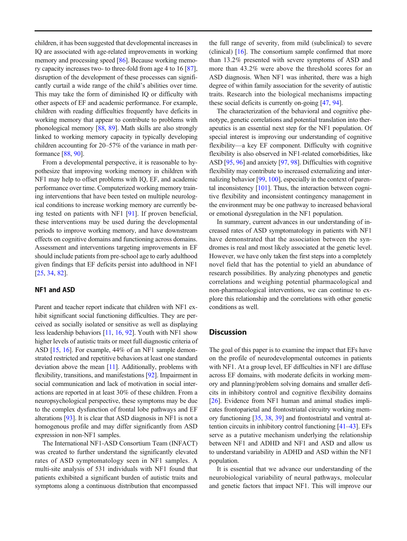children, it has been suggested that developmental increases in IQ are associated with age-related improvements in working memory and processing speed [\[86\]](#page-10-0). Because working memory capacity increases two- to three-fold from age 4 to 16 [[87\]](#page-10-0), disruption of the development of these processes can significantly curtail a wide range of the child's abilities over time. This may take the form of diminished IQ or difficulty with other aspects of EF and academic performance. For example, children with reading difficulties frequently have deficits in working memory that appear to contribute to problems with phonological memory [\[88](#page-10-0), [89](#page-10-0)]. Math skills are also strongly linked to working memory capacity in typically developing children accounting for 20–57% of the variance in math performance [\[88](#page-10-0), [90\]](#page-10-0).

From a developmental perspective, it is reasonable to hypothesize that improving working memory in children with NF1 may help to offset problems with IQ, EF, and academic performance over time. Computerized working memory training interventions that have been tested on multiple neurological conditions to increase working memory are currently being tested on patients with NF1 [[91](#page-11-0)]. If proven beneficial, these interventions may be used during the developmental periods to improve working memory, and have downstream effects on cognitive domains and functioning across domains. Assessment and interventions targeting improvements in EF should include patients from pre-school age to early adulthood given findings that EF deficits persist into adulthood in NF1 [\[25,](#page-8-0) [34,](#page-9-0) [82\]](#page-10-0).

#### NF1 and ASD

Parent and teacher report indicate that children with NF1 exhibit significant social functioning difficulties. They are perceived as socially isolated or sensitive as well as displaying less leadership behaviors [[11,](#page-8-0) [16](#page-8-0), [92](#page-11-0)]. Youth with NF1 show higher levels of autistic traits or meet full diagnostic criteria of ASD [[15](#page-8-0), [16\]](#page-8-0). For example, 44% of an NF1 sample demonstrated restricted and repetitive behaviors at least one standard deviation above the mean [\[11](#page-8-0)]. Additionally, problems with flexibility, transitions, and manifestations [\[92](#page-11-0)]. Impairment in social communication and lack of motivation in social interactions are reported in at least 30% of these children. From a neuropsychological perspective, these symptoms may be due to the complex dysfunction of frontal lobe pathways and EF alterations [[93](#page-11-0)]. It is clear that ASD diagnosis in NF1 is not a homogenous profile and may differ significantly from ASD expression in non-NF1 samples.

The International NF1-ASD Consortium Team (INFACT) was created to further understand the significantly elevated rates of ASD symptomatology seen in NF1 samples. A multi-site analysis of 531 individuals with NF1 found that patients exhibited a significant burden of autistic traits and symptoms along a continuous distribution that encompassed

the full range of severity, from mild (subclinical) to severe (clinical) [\[16](#page-8-0)]. The consortium sample confirmed that more than 13.2% presented with severe symptoms of ASD and more than 43.2% were above the threshold scores for an ASD diagnosis. When NF1 was inherited, there was a high degree of within family association for the severity of autistic traits. Research into the biological mechanisms impacting these social deficits is currently on-going [[47,](#page-9-0) [94](#page-11-0)].

The characterization of the behavioral and cognitive phenotype, genetic correlations and potential translation into therapeutics is an essential next step for the NF1 population. Of special interest is improving our understanding of cognitive flexibility—a key EF component. Difficulty with cognitive flexibility is also observed in NF1-related comorbidities, like ASD [\[95,](#page-11-0) [96](#page-11-0)] and anxiety [\[97,](#page-11-0) [98](#page-11-0)]. Difficulties with cognitive flexibility may contribute to increased externalizing and internalizing behavior [\[99](#page-11-0), [100](#page-11-0)], especially in the context of parental inconsistency [\[101](#page-11-0)]. Thus, the interaction between cognitive flexibility and inconsistent contingency management in the environment may be one pathway to increased behavioral or emotional dysregulation in the NF1 population.

In summary, current advances in our understanding of increased rates of ASD symptomatology in patients with NF1 have demonstrated that the association between the syndromes is real and most likely associated at the genetic level. However, we have only taken the first steps into a completely novel field that has the potential to yield an abundance of research possibilities. By analyzing phenotypes and genetic correlations and weighing potential pharmacological and non-pharmacological interventions, we can continue to explore this relationship and the correlations with other genetic conditions as well.

# **Discussion**

The goal of this paper is to examine the impact that EFs have on the profile of neurodevelopmental outcomes in patients with NF1. At a group level, EF difficulties in NF1 are diffuse across EF domains, with moderate deficits in working memory and planning/problem solving domains and smaller deficits in inhibitory control and cognitive flexibility domains [\[26](#page-8-0)]. Evidence from NF1 human and animal studies implicates frontoparietal and frontostriatal circuitry working memory functioning [[35](#page-9-0), [38](#page-9-0), [39](#page-9-0)] and frontostriatal and ventral attention circuits in inhibitory control functioning [[41](#page-9-0)–[43](#page-9-0)]. EFs serve as a putative mechanism underlying the relationship between NF1 and ADHD and NF1 and ASD and allow us to understand variability in ADHD and ASD within the NF1 population.

It is essential that we advance our understanding of the neurobiological variability of neural pathways, molecular and genetic factors that impact NF1. This will improve our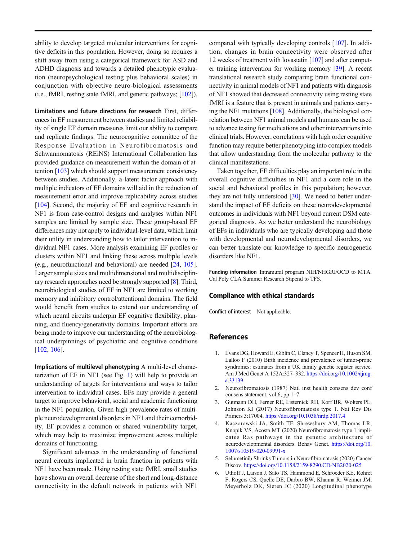<span id="page-7-0"></span>ability to develop targeted molecular interventions for cognitive deficits in this population. However, doing so requires a shift away from using a categorical framework for ASD and ADHD diagnosis and towards a detailed phenotypic evaluation (neuropsychological testing plus behavioral scales) in conjunction with objective neuro-biological assessments (i.e., fMRI, resting state fMRI, and genetic pathways; [\[102](#page-11-0)]).

Limitations and future directions for research First, differences in EF measurement between studies and limited reliability of single EF domain measures limit our ability to compare and replicate findings. The neurocognitive committee of the Response Evaluation in Neurofibromatosis and Schwannomatosis (REiNS) International Collaboration has provided guidance on measurement within the domain of attention [\[103](#page-11-0)] which should support measurement consistency between studies. Additionally, a latent factor approach with multiple indicators of EF domains will aid in the reduction of measurement error and improve replicability across studies [\[104\]](#page-11-0). Second, the majority of EF and cognitive research in NF1 is from case-control designs and analyses within NF1 samples are limited by sample size. These group-based EF differences may not apply to individual-level data, which limit their utility in understanding how to tailor intervention to individual NF1 cases. More analysis examining EF profiles or clusters within NF1 and linking these across multiple levels (e.g., neurofunctional and behavioral) are needed [\[24,](#page-8-0) [105\]](#page-11-0). Larger sample sizes and multidimensional and multidisciplinary research approaches need be strongly supported [[8\]](#page-8-0). Third, neurobiological studies of EF in NF1 are limited to working memory and inhibitory control/attentional domains. The field would benefit from studies to extend our understanding of which neural circuits underpin EF cognitive flexibility, planning, and fluency/generativity domains. Important efforts are being made to improve our understanding of the neurobiological underpinnings of psychiatric and cognitive conditions [\[102,](#page-11-0) [106\]](#page-11-0).

Implications of multilevel phenotyping A multi-level characterization of EF in NF1 (see Fig. [1\)](#page-2-0) will help to provide an understanding of targets for interventions and ways to tailor intervention to individual cases. EFs may provide a general target to improve behavioral, social and academic functioning in the NF1 population. Given high prevalence rates of multiple neurodevelopmental disorders in NF1 and their comorbidity, EF provides a common or shared vulnerability target, which may help to maximize improvement across multiple domains of functioning.

Significant advances in the understanding of functional neural circuits implicated in brain function in patients with NF1 have been made. Using resting state fMRI, small studies have shown an overall decrease of the short and long-distance connectivity in the default network in patients with NF1

compared with typically developing controls [\[107](#page-11-0)]. In addition, changes in brain connectivity were observed after 12 weeks of treatment with lovastatin [[107](#page-11-0)] and after computer training intervention for working memory [\[39\]](#page-9-0). A recent translational research study comparing brain functional connectivity in animal models of NF1 and patients with diagnosis of NF1 showed that decreased connectivity using resting state fMRI is a feature that is present in animals and patients carrying the NF1 mutations [\[108\]](#page-11-0). Additionally, the biological correlation between NF1 animal models and humans can be used to advance testing for medications and other interventions into clinical trials. However, correlations with high order cognitive function may require better phenotyping into complex models that allow understanding from the molecular pathway to the clinical manifestations.

Taken together, EF difficulties play an important role in the overall cognitive difficulties in NF1 and a core role in the social and behavioral profiles in this population; however, they are not fully understood [[30\]](#page-8-0). We need to better understand the impact of EF deficits on these neurodevelopmental outcomes in individuals with NF1 beyond current DSM categorical diagnosis. As we better understand the neurobiology of EFs in individuals who are typically developing and those with developmental and neurodevelopmental disorders, we can better translate our knowledge to specific neurogenetic disorders like NF1.

Funding information Intramural program NIH/NHGRI/OCD to MTA. Cal Poly CLA Summer Research Stipend to TFS.

#### Compliance with ethical standards

Conflict of interest Not applicable.

## References

- 1. Evans DG, Howard E, Giblin C, Clancy T, Spencer H, Huson SM, Lalloo F (2010) Birth incidence and prevalence of tumor-prone syndromes: estimates from a UK family genetic register service. Am J Med Genet A 152A:327–332. <https://doi.org/10.1002/ajmg>. a.33139
- 2. Neurofibromatosis (1987) Natl inst health consens dev conf consens statement, vol 6, pp 1–7
- 3. Gutmann DH, Ferner RE, Listernick RH, Korf BR, Wolters PL, Johnson KJ (2017) Neurofibromatosis type 1. Nat Rev Dis Primers 3:17004. <https://doi.org/10.1038/nrdp.2017.4>
- 4. Kaczorowski JA, Smith TF, Shrewsbury AM, Thomas LR, Knopik VS, Acosta MT (2020) Neurofibromatosis type 1 implicates Ras pathways in the genetic architecture of neurodevelopmental disorders. Behav Genet. <https://doi.org/10>. 1007/s10519-020-09991-x
- 5. Selumetinib Shrinks Tumors in Neurofibromatosis (2020) Cancer Discov. <https://doi.org/10.1158/2159-8290.CD-NB2020-025>
- 6. Uthoff J, Larson J, Sato TS, Hammond E, Schroeder KE, Rohret F, Rogers CS, Quelle DE, Darbro BW, Khanna R, Weimer JM, Meyerholz DK, Sieren JC (2020) Longitudinal phenotype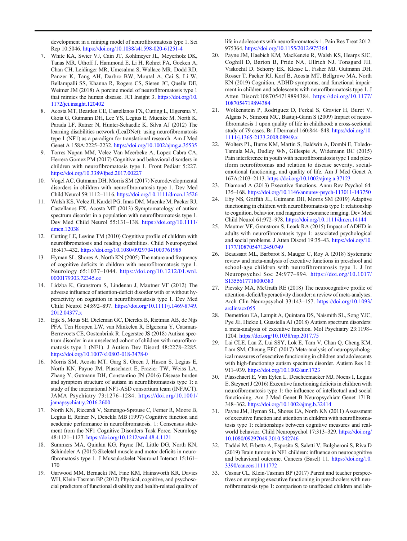<span id="page-8-0"></span>development in a minipig model of neurofibromatosis type 1. Sci Rep 10:5046. <https://doi.org/10.1038/s41598-020-61251-4>

- 7. White KA, Swier VJ, Cain JT, Kohlmeyer JL, Meyerholz DK, Tanas MR, Uthoff J, Hammond E, Li H, Rohret FA, Goeken A, Chan CH, Leidinger MR, Umesalma S, Wallace MR, Dodd RD, Panzer K, Tang AH, Darbro BW, Moutal A, Cai S, Li W, Bellampalli SS, Khanna R, Rogers CS, Sieren JC, Quelle DE, Weimer JM (2018) A porcine model of neurofibromatosis type 1 that mimics the human disease. JCI Insight 3. <https://doi.org/10>. 1172/jci.insight.120402
- 8. Acosta MT, Bearden CE, Castellanos FX, Cutting L, Elgersma Y, Gioia G, Gutmann DH, Lee YS, Legius E, Muenke M, North K, Parada LF, Ratner N, Hunter-Schaedle K, Silva AJ (2012) The learning disabilities network (LeaDNet): using neurofibromatosis type 1 (NF1) as a paradigm for translational research. Am J Med Genet A 158A:2225–2232. <https://doi.org/10.1002/ajmg.a.35535>
- 9. Torres Nupan MM, Velez Van Meerbeke A, Lopez Cabra CA, Herrera Gomez PM (2017) Cognitive and behavioral disorders in children with neurofibromatosis type 1. Front Pediatr 5:227. <https://doi.org/10.3389/fped.2017.00227>
- 10. Vogel AC, Gutmann DH, Morris SM (2017) Neurodevelopmental disorders in children with neurofibromatosis type 1. Dev Med Child Neurol 59:1112–1116. <https://doi.org/10.1111/dmcn.13526>
- 11. Walsh KS, Velez JI, Kardel PG, Imas DM, Muenke M, Packer RJ, Castellanos FX, Acosta MT (2013) Symptomatology of autism spectrum disorder in a population with neurofibromatosis type 1. Dev Med Child Neurol 55:131–138. [https://doi.org/10.1111/](https://doi.org/10.1111) dmcn.12038
- 12. Cutting LE, Levine TM (2010) Cognitive profile of children with neurofibromatosis and reading disabilities. Child Neuropsychol 16:417–432. <https://doi.org/10.1080/09297041003761985>
- 13. Hyman SL, Shores A, North KN (2005) The nature and frequency of cognitive deficits in children with neurofibromatosis type 1. Neurology 65:1037–1044. [https://doi.org/10.1212/01.wnl.](https://doi.org/10.1212/01.wnl) [0000179303.72345.ce](https://0000179303.72345.ce)
- 14. Lidzba K, Granstrom S, Lindenau J, Mautner VF (2012) The adverse influence of attention-deficit disorder with or without hyperactivity on cognition in neurofibromatosis type 1. Dev Med Child Neurol 54:892–897. <https://doi.org/10.1111/j.1469-8749>. 2012.04377.x
- 15. Eijk S, Mous SE, Dieleman GC, Dierckx B, Rietman AB, de Nijs PFA, Ten Hoopen LW, van Minkelen R, Elgersma Y, Catsman-Berrevoets CE, Oostenbrink R, Legerstee JS (2018) Autism spectrum disorder in an unselected cohort of children with neurofibromatosis type 1 (NF1). J Autism Dev Disord 48:2278–2285. <https://doi.org/10.1007/s10803-018-3478-0>
- 16. Morris SM, Acosta MT, Garg S, Green J, Huson S, Legius E, North KN, Payne JM, Plasschaert E, Frazier TW, Weiss LA, Zhang Y, Gutmann DH, Constantino JN (2016) Disease burden and symptom structure of autism in neurofibromatosis type 1: a study of the international NF1-ASD consortium team (INFACT). JAMA Psychiatry 73:1276–1284. <https://doi.org/10.1001>/ jamapsychiatry.2016.2600
- 17. North KN, Riccardi V, Samango-Sprouse C, Ferner R, Moore B, Legius E, Ratner N, Denckla MB (1997) Cognitive function and academic performance in neurofibromatosis. 1: Consensus statement from the NF1 Cognitive Disorders Task Force. Neurology 48:1121–1127. <https://doi.org/10.1212/wnl.48.4.1121>
- 18. Summers MA, Quinlan KG, Payne JM, Little DG, North KN, Schindeler A (2015) Skeletal muscle and motor deficits in neurofibromatosis type 1. J Musculoskelet Neuronal Interact 15:161– 170
- 19. Garwood MM, Bernacki JM, Fine KM, Hainsworth KR, Davies WH, Klein-Tasman BP (2012) Physical, cognitive, and psychosocial predictors of functional disability and health-related quality of

life in adolescents with neurofibromatosis-1. Pain Res Treat 2012: 975364. <https://doi.org/10.1155/2012/975364>

- 20. Payne JM, Haebich KM, MacKenzie R, Walsh KS, Hearps SJC, Coghill D, Barton B, Pride NA, Ullrich NJ, Tonsgard JH, Viskochil D, Schorry EK, Klesse L, Fisher MJ, Gutmann DH, Rosser T, Packer RJ, Korf B, Acosta MT, Bellgrove MA, North KN (2019) Cognition, ADHD symptoms, and functional impairment in children and adolescents with neurofibromatosis type 1. J Atten Disord:1087054719894384. [https://doi.org/10.1177/](https://doi.org/10.1177) 1087054719894384
- 21. Wolkenstein P, Rodriguez D, Ferkal S, Gravier H, Buret V, Algans N, Simeoni MC, Bastuji-Garin S (2009) Impact of neurofibromatosis 1 upon quality of life in childhood: a cross-sectional study of 79 cases. Br J Dermatol 160:844–848. <https://doi.org/10>. 1111/j.1365-2133.2008.08949.x
- 22. Wolters PL, Burns KM, Martin S, Baldwin A, Dombi E, Toledo-Tamula MA, Dudley WN, Gillespie A, Widemann BC (2015) Pain interference in youth with neurofibromatosis type 1 and plexiform neurofibromas and relation to disease severity, socialemotional functioning, and quality of life. Am J Med Genet A 167A:2103–2113. <https://doi.org/10.1002/ajmg.a.37123>
- 23. Diamond A (2013) Executive functions. Annu Rev Psychol 64: 135–168. <https://doi.org/10.1146/annurev-psych-113011-143750>
- 24. Eby NS, Griffith JL, Gutmann DH, Morris SM (2019) Adaptive functioning in children with neurofibromatosis type 1: relationship to cognition, behavior, and magnetic resonance imaging. Dev Med Child Neurol 61:972–978. <https://doi.org/10.1111/dmcn.14144>
- 25. Mautner VF, Granstrom S, Leark RA (2015) Impact of ADHD in adults with neurofibromatosis type 1: associated psychological and social problems. J Atten Disord 19:35–43. <https://doi.org/10>. 1177/1087054712450749
- 26. Beaussart ML, Barbarot S, Mauger C, Roy A (2018) Systematic review and meta-analysis of executive functions in preschool and school-age children with neurofibromatosis type 1. J Int Neuropsychol Soc 24:977–994. [https://doi.org/10.1017/](https://doi.org/10.1017) S1355617718000383
- 27. Pievsky MA, McGrath RE (2018) The neurocognitive profile of attention-deficit/hyperactivity disorder: a review of meta-analyses. Arch Clin Neuropsychol 33:143–157. [https://doi.org/10.1093/](https://doi.org/10.1093) arclin/acx055
- 28. Demetriou EA, Lampit A, Quintana DS, Naismith SL, Song YJC, Pye JE, Hickie I, Guastella AJ (2018) Autism spectrum disorders: a meta-analysis of executive function. Mol Psychiatry 23:1198– 1204. <https://doi.org/10.1038/mp.2017.75>
- 29. Lai CLE, Lau Z, Lui SSY, Lok E, Tam V, Chan Q, Cheng KM, Lam SM, Cheung EFC (2017) Meta-analysis of neuropsychological measures of executive functioning in children and adolescents with high-functioning autism spectrum disorder. Autism Res 10: 911–939. <https://doi.org/10.1002/aur.1723>
- 30. Plasschaert E, Van Eylen L, Descheemaeker MJ, Noens I, Legius E, Steyaert J (2016) Executive functioning deficits in children with neurofibromatosis type 1: the influence of intellectual and social functioning. Am J Med Genet B Neuropsychiatr Genet 171B: 348–362. <https://doi.org/10.1002/ajmg.b.32414>
- 31. Payne JM, Hyman SL, Shores EA, North KN (2011) Assessment of executive function and attention in children with neurofibromatosis type 1: relationships between cognitive measures and realworld behavior. Child Neuropsychol 17:313–329. <https://doi.org>/ 10.1080/09297049.2010.542746
- 32. Taddei M, Erbetta A, Esposito S, Saletti V, Bulgheroni S, Riva D (2019) Brain tumors in NF1 children: influence on neurocognitive and behavioral outcome. Cancers (Basel) 11. <https://doi.org/10>. 3390/cancers11111772
- 33. Casnar CL, Klein-Tasman BP (2017) Parent and teacher perspectives on emerging executive functioning in preschoolers with neurofibromatosis type 1: comparison to unaffected children and lab-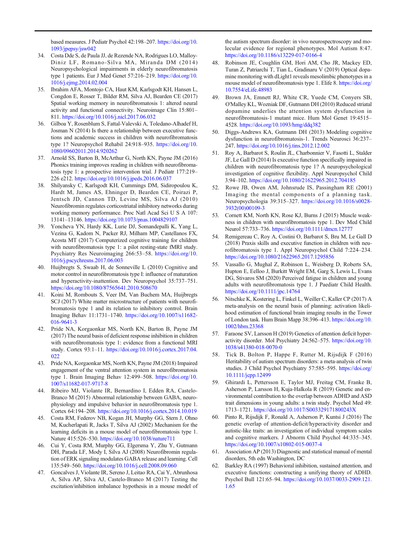<span id="page-9-0"></span>based measures. J Pediatr Psychol 42:198–207. <https://doi.org/10>. 1093/jpepsy/jsw042

- 34. Costa Dde S, de Paula JJ, de Rezende NA, Rodrigues LO, Malloy-Diniz LF, Romano-Silva MA, Miranda DM (2014) Neuropsychological impairments in elderly neurofibromatosis type 1 patients. Eur J Med Genet 57:216–219. <https://doi.org/10>. 1016/j.ejmg.2014.02.004
- 35. Ibrahim AFA, Montojo CA, Haut KM, Karlsgodt KH, Hansen L, Congdon E, Rosser T, Bilder RM, Silva AJ, Bearden CE (2017) Spatial working memory in neurofibromatosis 1: altered neural activity and functional connectivity. Neuroimage Clin 15:801– 811. <https://doi.org/10.1016/j.nicl.2017.06.032>
- 36. Gilboa Y, Rosenblum S, Fattal-Valevski A, Toledano-Alhadef H, Josman N (2014) Is there a relationship between executive functions and academic success in children with neurofibromatosis type 1? Neuropsychol Rehabil 24:918–935. <https://doi.org/10>. 1080/09602011.2014.920262
- 37. Arnold SS, Barton B, McArthur G, North KN, Payne JM (2016) Phonics training improves reading in children with neurofibromatosis type 1: a prospective intervention trial. J Pediatr 177:219– 226 e212. <https://doi.org/10.1016/j.jpeds.2016.06.037>
- 38. Shilyansky C, Karlsgodt KH, Cummings DM, Sidiropoulou K, Hardt M, James AS, Ehninger D, Bearden CE, Poirazi P, Jentsch JD, Cannon TD, Levine MS, Silva AJ (2010) Neurofibromin regulates corticostriatal inhibitory networks during working memory performance. Proc Natl Acad Sci U S A 107: 13141–13146. <https://doi.org/10.1073/pnas.1004829107>
- 39. Yoncheva YN, Hardy KK, Lurie DJ, Somandepalli K, Yang L, Vezina G, Kadom N, Packer RJ, Milham MP, Castellanos FX, Acosta MT (2017) Computerized cognitive training for children with neurofibromatosis type 1: a pilot resting-state fMRI study. Psychiatry Res Neuroimaging 266:53–58. [https://doi.org/10.](https://doi.org/10) 1016/j.pscychresns.2017.06.003
- 40. Huijbregts S, Swaab H, de Sonneville L (2010) Cognitive and motor control in neurofibromatosis type I: influence of maturation and hyperactivity-inattention. Dev Neuropsychol 35:737–751. <https://doi.org/10.1080/87565641.2010.508670>
- 41. Koini M, Rombouts S, Veer IM, Van Buchem MA, Huijbregts SCJ (2017) White matter microstructure of patients with neurofibromatosis type 1 and its relation to inhibitory control. Brain Imaging Behav 11:1731–1740. <https://doi.org/10.1007/s11682>- 016-9641-3
- 42. Pride NA, Korgaonkar MS, North KN, Barton B, Payne JM (2017) The neural basis of deficient response inhibition in children with neurofibromatosis type 1: evidence from a functional MRI study. Cortex 93:1–11. [https://doi.org/10.1016/j.cortex.2017.04.](https://doi.org/10.1016/j.cortex.2017.04) 022
- 43. Pride NA, Korgaonkar MS, North KN, Payne JM (2018) Impaired engagement of the ventral attention system in neurofibromatosis type 1. Brain Imaging Behav 12:499–508. [https://doi.org/10.](https://doi.org/10) 1007/s11682-017-9717-8
- 44. Ribeiro MJ, Violante IR, Bernardino I, Edden RA, Castelo-Branco M (2015) Abnormal relationship between GABA, neurophysiology and impulsive behavior in neurofibromatosis type 1. Cortex 64:194–208. <https://doi.org/10.1016/j.cortex.2014.10.019>
- 45. Costa RM, Federov NB, Kogan JH, Murphy GG, Stern J, Ohno M, Kucherlapati R, Jacks T, Silva AJ (2002) Mechanism for the learning deficits in a mouse model of neurofibromatosis type 1. Nature 415:526–530. <https://doi.org/10.1038/nature711>
- 46. Cui Y, Costa RM, Murphy GG, Elgersma Y, Zhu Y, Gutmann DH, Parada LF, Mody I, Silva AJ (2008) Neurofibromin regulation of ERK signaling modulates GABA release and learning. Cell 135:549–560. <https://doi.org/10.1016/j.cell.2008.09.060>
- 47. Goncalves J, Violante IR, Sereno J, Leitao RA, Cai Y, Abrunhosa A, Silva AP, Silva AJ, Castelo-Branco M (2017) Testing the excitation/inhibition imbalance hypothesis in a mouse model of

the autism spectrum disorder: in vivo neurospectroscopy and molecular evidence for regional phenotypes. Mol Autism 8:47. <https://doi.org/10.1186/s13229-017-0166-4>

- 48. Robinson JE, Coughlin GM, Hori AM, Cho JR, Mackey ED, Turan Z, Patriarchi T, Tian L, Gradinaru V (2019) Optical dopamine monitoring with dLight1 reveals mesolimbic phenotypes in a mouse model of neurofibromatosis type 1. Elife 8. <https://doi.org>/ 10.7554/eLife.48983
- 49. Brown JA, Emnett RJ, White CR, Yuede CM, Conyers SB, O'Malley KL, Wozniak DF, Gutmann DH (2010) Reduced striatal dopamine underlies the attention system dysfunction in neurofibromatosis-1 mutant mice. Hum Mol Genet 19:4515– 4528. <https://doi.org/10.1093/hmg/ddq382>
- 50. Diggs-Andrews KA, Gutmann DH (2013) Modeling cognitive dysfunction in neurofibromatosis-1. Trends Neurosci 36:237– 247. <https://doi.org/10.1016/j.tins.2012.12.002>
- 51. Roy A, Barbarot S, Roulin JL, Charbonnier V, Fasotti L, Stalder JF, Le Gall D (2014) Is executive function specifically impaired in children with neurofibromatosis type 1? A neuropsychological investigation of cognitive flexibility. Appl Neuropsychol Child 3:94–102. <https://doi.org/10.1080/21622965.2012.704185>
- 52. Rowe JB, Owen AM, Johnsrude IS, Passingham RE (2001) Imaging the mental components of a planning task. Neuropsychologia 39:315–327. [https://doi.org/10.1016/s0028-](https://doi.org/10.1016/s0028) 3932(00)00109-3
- 53. Cornett KM, North KN, Rose KJ, Burns J (2015) Muscle weakness in children with neurofibromatosis type 1. Dev Med Child Neurol 57:733–736. <https://doi.org/10.1111/dmcn.12777>
- 54. Remigereau C, Roy A, Costini O, Barbarot S, Bru M, Le Gall D (2018) Praxis skills and executive function in children with neurofibromatosis type 1. Appl Neuropsychol Child 7:224–234. <https://doi.org/10.1080/21622965.2017.1295856>
- 55. Vassallo G, Mughal Z, Robinson L, Weisberg D, Roberts SA, Hupton E, Eelloo J, Burkitt Wright EM, Garg S, Lewis L, Evans DG, Stivaros SM (2020) Perceived fatigue in children and young adults with neurofibromatosis type 1. J Paediatr Child Health. <https://doi.org/10.1111/jpc.14764>
- 56. Nitschke K, Kostering L, Finkel L, Weiller C, Kaller CP (2017) A meta-analysis on the neural basis of planning: activation likelihood estimation of functional brain imaging results in the Tower of London task. Hum Brain Mapp 38:396–413. <https://doi.org/10>. 1002/hbm.23368
- 57. Faraone SV, Larsson H (2019) Genetics of attention deficit hyperactivity disorder. Mol Psychiatry 24:562–575. <https://doi.org/10>. 1038/s41380-018-0070-0
- 58. Tick B, Bolton P, Happe F, Rutter M, Rijsdijk F (2016) Heritability of autism spectrum disorders: a meta-analysis of twin studies. J Child Psychol Psychiatry 57:585–595. <https://doi.org>/ 10.1111/jcpp.12499
- 59. Ghirardi L, Pettersson E, Taylor MJ, Freitag CM, Franke B, Asherson P, Larsson H, Kuja-Halkola R (2019) Genetic and environmental contribution to the overlap between ADHD and ASD trait dimensions in young adults: a twin study. Psychol Med 49: 1713–1721. <https://doi.org/10.1017/S003329171800243X>
- 60. Pinto R, Rijsdijk F, Ronald A, Asherson P, Kuntsi J (2016) The genetic overlap of attention-deficit/hyperactivity disorder and autistic-like traits: an investigation of individual symptom scales and cognitive markers. J Abnorm Child Psychol 44:335–345. <https://doi.org/10.1007/s10802-015-0037-4>
- 61. Association AP (2013) Diagnostic and statistical manual of mental disorders, 5th edn Washington, DC
- 62. Barkley RA (1997) Behavioral inhibition, sustained attention, and executive functions: constructing a unifying theory of ADHD. Psychol Bull 121:65–94. <https://doi.org/10.1037/0033-2909.121>. 1.65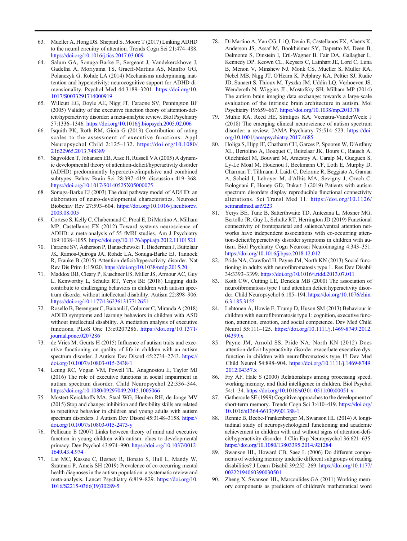- <span id="page-10-0"></span>63. Mueller A, Hong DS, Shepard S, Moore T (2017) Linking ADHD 78. Di Martino A, Yan CG, Li Q, Denio E, Castellanos FX, Alaerts K, to the neural circuitry of attention. Trends Cogn Sci 21:474–488. Anderson JS, Assaf M, Boo to the neural circuitry of attention. Trends Cogn Sci 21:474-488.
- Gadelha A, Moriyama TS, Graeff-Martins AS, Manfro GG,
- $(2005)$  Validity of the executive function theory of attention-def-
- 66. Isquith PK, Roth RM, Gioia G (2013) Contribution of rating scales to the assessment of executive functions. Appl org/10.1001/jamapsychiatry.2017.4685 Neuropsychol Child 2:125–132. https://doi.org/10.1080/ 80. Holiga S, Hipp JF, Chatham CH, Garces P, Spooren W, D'Ardhuy
- 
- Biobehav Rev 27:593–604. https://doi.org/10.1016/j.neubiorev. scitranslmed.aat9223
- 
- JK, Ramos-Quiroga JA, Rohde LA, Sonuga-Barke EJ, Tannock https://doi.org/10.1016/j.bpsc.2018.12.012
- 71. Maddox BB, Cleary P, Kuschner ES, Miller JS, Armour AC, Guy 34:3393–3399. https://doi.org/10.1016/j.ridd.2013.07.011 L, Kenworthy L, Schultz RT, Yerys BE (2018) Lagging skills 83. Koth CW, Cutting LE, Denckla MB (2000) The association of https://doi.org/10.1177/1362361317712651 6.3.185.3155
- 72. Rosello B, Berenguer C, Baixauli I, Colomer C, Miranda A (2018) 84. Lehtonen A, Howie E, Trump D, Huson SM (2013) Behaviour in journal.pone.0207286 04399.x
- 73. de Vries M, Geurts H (2015) Influence of autism traits and exec- 85. Payne JM, Arnold SS, Pride NA, North KN (2012) Does
- 74. Leung RC, Vogan VM, Powell TL, Anagnostou E, Taylor MJ 2012.04357.x (2016) The role of executive functions in social impairment in 86. Fry AF, Hale S (2000) Relationships among processing speed, https://doi.org/10.1080/09297049.2015.1005066 54:1–34. https://doi.org/10.1016/s0301-0511(00)00051-x
- to repetitive behavior in children and young adults with autism 10.1016/s1364-6613(99)01388-1 spectrum disorders. J Autism Dev Disord 45:3148–3158. https:// 88. Rennie B, Beebe-Frankenberger M, Swanson HL (2014) A longi-
- primacy. Dev Psychol 43:974–990. https://doi.org/10.1037/0012- https://doi.org/10.1080/13803395.2014.921284
- health diagnoses in the autism population: a systematic review and 00222194060390030501 meta-analysis. Lancet Psychiatry 6:819–829. https://doi.org/10. 90. Zheng X, Swanson HL, Marcoulides GA (2011) Working mem-
- https://doi.org/10.1016/j.tics.2017.03.009 Delmonte S, Dinstein I, Ertl-Wagner B, Fair DA, Gallagher L, 64. Salum GA, Sonuga-Barke E, Sergeant J, Vandekerckhove J, Kennedy DP, Keown CL, Keysers C, Lainhart JE, Lord C, Luna<br>Gadelha A, Moriyama TS, Graeff-Martins AS, Manfro GG, B, Menon V, Minshew NJ, Monk CS, Mueller S, Mulle Polanczyk G, Rohde LA (2014) Mechanisms underpinning inat- Nebel MB, Nigg JT, O'Hearn K, Pelphrey KA, Peltier SJ, Rudie tention and hyperactivity: neurocognitive support for ADHD di- JD, Sunaert S, Thioux M, Tyszka JM, Uddin LQ, Verhoeven JS, mensionality. Psychol Med 44:3189–3201. https://doi.org/10. Wenderoth N, Wiggins JL, Mostofsky SH, Milham MP (2014) 1017/S0033291714000919 The autism brain imaging data exchange: towards a large-scale 65. Willcutt EG, Doyle AE, Nigg JT, Faraone SV, Pennington BF evaluation of the intrinsic brain architecture in autism. Mol (2005) Validity of the executive function theory of attention-def-<br>Psychiatry 19:659–667. https://
	- icit/hyperactivity disorder: a meta-analytic review. Biol Psychiatry 79. Muhle RA, Reed HE, Stratigos KA, Veenstra-VanderWeele J 57:1336–1346. https://doi.org/10.1016/j.biopsych.2005.02.006 (2018) The emerging clinical neuroscience of autism spectrum Isquith PK, Roth RM, Gioia G (2013) Contribution of rating disorder: a review. JAMA Psychiatry 75:51
- 21622965.2013.748389 XL, Bertolino A, Bouquet C, Buitelaar JK, Bours C, Rausch A, 67. Sagvolden T, Johansen EB, Aase H, Russell VA (2005) A dynam- Oldehinkel M, Bouvard M, Amestoy A, Caralp M, Gueguen S, ic developmental theory of attention-deficit/hyperactivity disorder Ly-Le Moal M, Houenou J, Beckmann CF, Loth E, Murphy D, (ADHD) predominantly hyperactive/impulsive and combined Charman T, Tillmann J, Laidi C, Delorme R, Beggiato A, Gaman subtypes. Behav Brain Sci 28:397–419; discussion 419–368. A, Scheid I, Leboyer M, d'Albis MA, Sevigny J, Czech C, https://doi.org/10.1017/S0140525X05000075 Bolognani F, Honey GD, Dukart J (2019) Patients with autism 68. Sonuga-Barke EJ (2003) The dual pathway model of AD/HD: an spectrum disorders display reproducible functional connectivity elaboration of neuro-developmental characteristics. Neurosci alterations. Sci Transl Med 11. https://doi.org/10.1126/
- 2003.08.005 81. Yerys BE, Tunc B, Satterthwaite TD, Antezana L, Mosner MG, 69. Cortese S, Kelly C, Chabernaud C, Proal E, Di Martino A, Milham Bertollo JR, Guy L, Schultz RT, Herrington JD (2019) Functional MP, Castellanos FX (2012) Toward systems neuroscience of connectivity of frontoparietal and salience/ventral attention net-ADHD: a meta-analysis of 55 fMRI studies. Am J Psychiatry works have independent associations with co-occurring atten-169:1038–1055. https://doi.org/10.1176/appi.ajp.2012.11101521 tion-deficit/hyperactivity disorder symptoms in children with au-70. Faraone SV, Asherson P, Banaschewski T, Biederman J, Buitelaar tism. Biol Psychiatry Cogn Neurosci Neuroimaging 4:343–351.
	- R, Franke B (2015) Attention-deficit/hyperactivity disorder. Nat 82. Pride NA, Crawford H, Payne JM, North KN (2013) Social func-Rev Dis Prim 1:15020. https://doi.org/10.1038/nrdp.2015.20 tioning in adults with neurofibromatosis type 1. Res Dev Disabil
	- contribute to challenging behaviors in children with autism spec- neurofibromatosis type 1 and attention deficit hyperactivity disortrum disorder without intellectual disability. Autism 22:898–906. der. Child Neuropsychol 6:185–194. https://doi.org/10.1076/chin.
	- ADHD symptoms and learning behaviors in children with ASD children with neurofibromatosis type 1: cognition, executive funcwithout intellectual disability. A mediation analysis of executive tion, attention, emotion, and social competence. Dev Med Child functions. PLoS One 13:e0207286. https://doi.org/10.1371/ Neurol 55:111–125. https://doi.org/10.1111/j.1469-8749.2012.
	- utive functioning on quality of life in children with an autism attention-deficit-hyperactivity disorder exacerbate executive dysspectrum disorder. J Autism Dev Disord 45:2734–2743. https:// function in children with neurofibromatosis type 1? Dev Med doi.org/10.1007/s10803-015-2438-1 Child Neurol 54:898–904. https://doi.org/10.1111/j.1469-8749.
	- autism spectrum disorder. Child Neuropsychol 22:336–344. working memory, and fluid intelligence in children. Biol Psychol
- 75. Mostert-Kerckhoffs MA, Staal WG, Houben RH, de Jonge MV 87. Gathercole SE (1999) Cognitive approaches to the development of (2015) Stop and change: inhibition and flexibility skills are related short-term memory. Trends Cogn Sci 3:410–419. https://doi.org/
- doi.org/10.1007/s10803-015-2473-y tudinal study of neuropsychological functioning and academic 76. Pellicano E (2007) Links between theory of mind and executive achievement in children with and without signs of attention-defifunction in young children with autism: clues to developmental cit/hyperactivity disorder. J Clin Exp Neuropsychol 36:621–635.
- 1649.43.4.974 89. Swanson HL, Howard CB, Saez L (2006) Do different compo-77. Lai MC, Kassee C, Besney R, Bonato S, Hull L, Mandy W, nents of working memory underlie different subgroups of reading Szatmari P, Ameis SH (2019) Prevalence of co-occurring mental disabilities? J Learn Disabil 39:252–269. https://doi.org/10.1177/
	- 1016/S2215-0366(19)30289-5 ory components as predictors of children's mathematical word